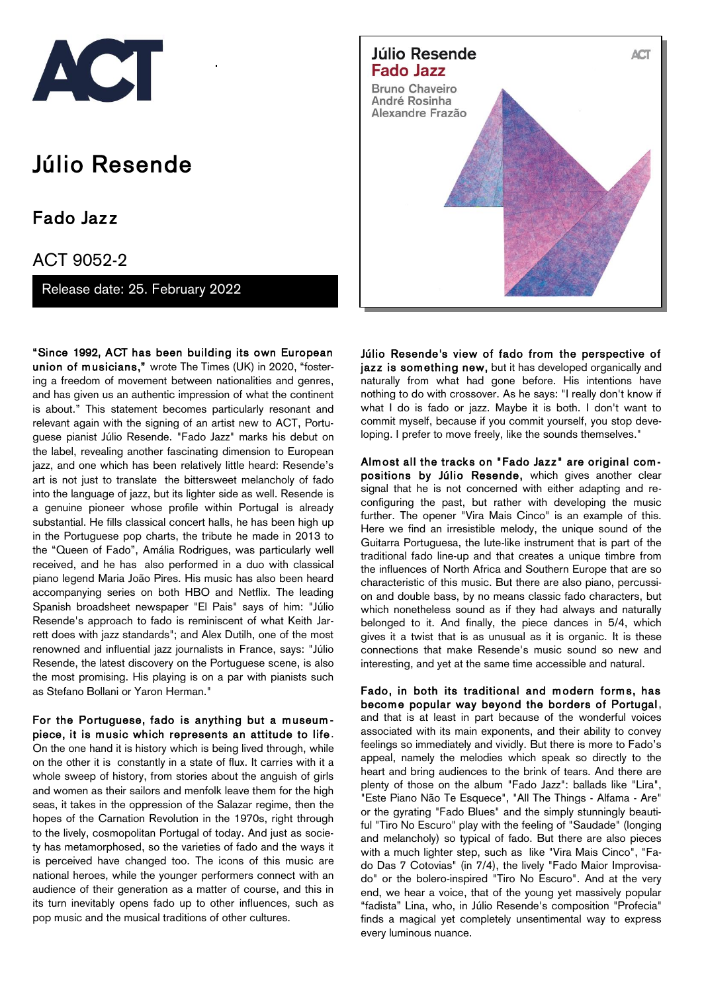

## Júlio Resende

Fado Jazz

## ACT 9052-2

Release date: 25. February 2022

"Since 1992, ACT has been building its own European union of musicians," wrote The Times (UK) in 2020, "fostering a freedom of movement between nationalities and genres, and has given us an authentic impression of what the continent is about." This statement becomes particularly resonant and relevant again with the signing of an artist new to ACT. Portuguese pianist Júlio Resende. "Fado Jazz" marks his debut on the label, revealing another fascinating dimension to European jazz, and one which has been relatively little heard: Resende's art is not just to translate the bittersweet melancholy of fado into the language of jazz, but its lighter side as well. Resende is a genuine pioneer whose profile within Portugal is already substantial. He fills classical concert halls, he has been high up in the Portuguese pop charts, the tribute he made in 2013 to the "Queen of Fado", Amália Rodrigues, was particularly well received, and he has also performed in a duo with classical piano legend Maria João Pires. His music has also been heard accompanying series on both HBO and Netflix. The leading Spanish broadsheet newspaper "El Pais" says of him: "Júlio Resende's approach to fado is reminiscent of what Keith Jarrett does with jazz standards"; and Alex Dutilh, one of the most renowned and influential jazz journalists in France, says: "Júlio Resende, the latest discovery on the Portuguese scene, is also the most promising. His playing is on a par with pianists such as Stefano Bollani or Yaron Herman."

For the Portuguese, fado is anything but a museumpiece, it is music which represents an attitude to life. On the one hand it is history which is being lived through, while on the other it is constantly in a state of flux. It carries with it a whole sweep of history, from stories about the anguish of girls and women as their sailors and menfolk leave them for the high seas, it takes in the oppression of the Salazar regime, then the hopes of the Carnation Revolution in the 1970s, right through to the lively, cosmopolitan Portugal of today. And just as society has metamorphosed, so the varieties of fado and the ways it is perceived have changed too. The icons of this music are national heroes, while the younger performers connect with an audience of their generation as a matter of course, and this in its turn inevitably opens fado up to other influences, such as pop music and the musical traditions of other cultures.



Júlio Resende's view of fado from the perspective of jazz is something new, but it has developed organically and naturally from what had gone before. His intentions have nothing to do with crossover. As he says: "I really don't know if what I do is fado or jazz. Maybe it is both. I don't want to commit myself, because if you commit yourself, you stop developing. I prefer to move freely, like the sounds themselves."

Almost all the tracks on "Fado Jazz" are original compositions by Júlio Resende, which gives another clear signal that he is not concerned with either adapting and reconfiguring the past, but rather with developing the music further. The opener "Vira Mais Cinco" is an example of this. Here we find an irresistible melody, the unique sound of the Guitarra Portuguesa, the lute-like instrument that is part of the traditional fado line-up and that creates a unique timbre from the influences of North Africa and Southern Europe that are so characteristic of this music. But there are also piano, percussion and double bass, by no means classic fado characters, but which nonetheless sound as if they had always and naturally belonged to it. And finally, the piece dances in 5/4, which gives it a twist that is as unusual as it is organic. It is these connections that make Resende's music sound so new and interesting, and yet at the same time accessible and natural.

Fado, in both its traditional and modern forms, has becom e popular way beyond the borders of Portugal, and that is at least in part because of the wonderful voices associated with its main exponents, and their ability to convey feelings so immediately and vividly. But there is more to Fado's appeal, namely the melodies which speak so directly to the heart and bring audiences to the brink of tears. And there are plenty of those on the album "Fado Jazz": ballads like "Lira", "Este Piano Não Te Esquece", "All The Things - Alfama - Are" or the gyrating "Fado Blues" and the simply stunningly beautiful "Tiro No Escuro" play with the feeling of "Saudade" (longing and melancholy) so typical of fado. But there are also pieces with a much lighter step, such as like "Vira Mais Cinco", "Fado Das 7 Cotovias" (in 7/4), the lively "Fado Maior Improvisado" or the bolero-inspired "Tiro No Escuro". And at the very end, we hear a voice, that of the young yet massively popular "fadista" Lina, who, in Júlio Resende's composition "Profecia" finds a magical yet completely unsentimental way to express every luminous nuance.